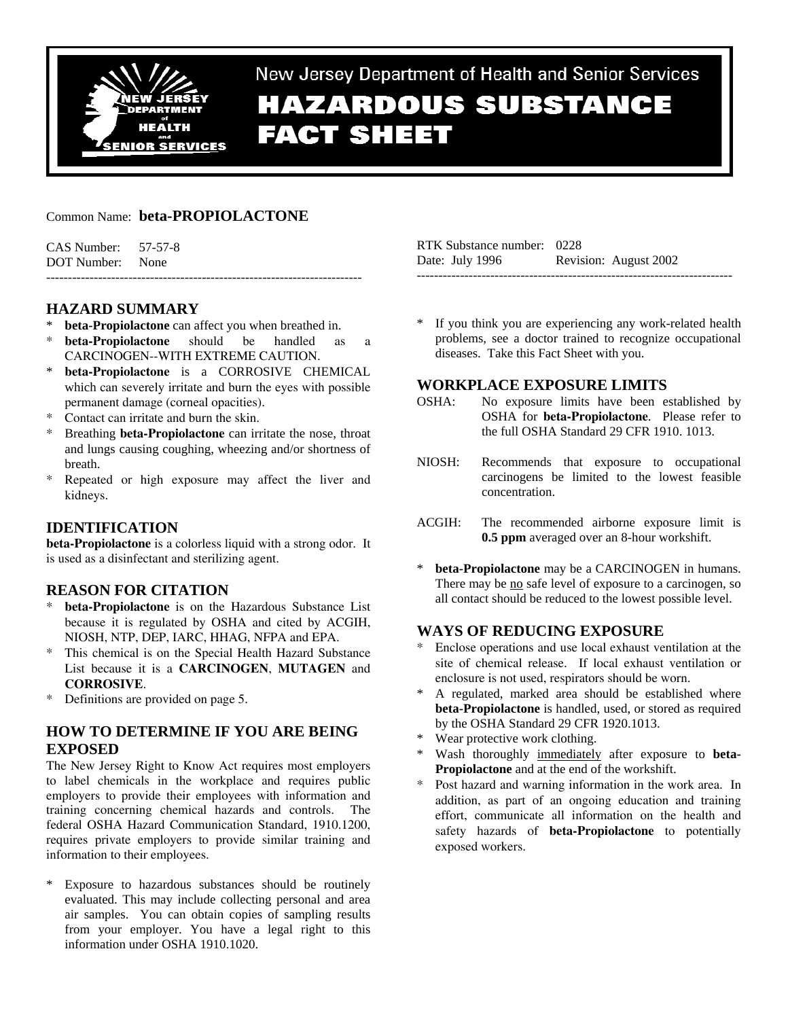

New Jersey Department of Health and Senior Services **HAZARDOUS SUBSTANCE** 

# **FACT SHEET**

## Common Name: **beta-PROPIOLACTONE**

| $CAS$ Number: $57-57-8$ |  |
|-------------------------|--|
| DOT Number: None        |  |
|                         |  |

# **HAZARD SUMMARY**

- **beta-Propiolactone** can affect you when breathed in.
- \* **beta-Propiolactone** should be handled as a CARCINOGEN--WITH EXTREME CAUTION.
- beta-Propiolactone is a CORROSIVE CHEMICAL which can severely irritate and burn the eyes with possible permanent damage (corneal opacities).
- \* Contact can irritate and burn the skin.
- Breathing **beta-Propiolactone** can irritate the nose, throat and lungs causing coughing, wheezing and/or shortness of breath.
- \* Repeated or high exposure may affect the liver and kidneys.

# **IDENTIFICATION**

**beta-Propiolactone** is a colorless liquid with a strong odor. It is used as a disinfectant and sterilizing agent.

## **REASON FOR CITATION**

- **beta-Propiolactone** is on the Hazardous Substance List because it is regulated by OSHA and cited by ACGIH, NIOSH, NTP, DEP, IARC, HHAG, NFPA and EPA.
- \* This chemical is on the Special Health Hazard Substance List because it is a **CARCINOGEN**, **MUTAGEN** and **CORROSIVE**.
- \* Definitions are provided on page 5.

## **HOW TO DETERMINE IF YOU ARE BEING EXPOSED**

The New Jersey Right to Know Act requires most employers to label chemicals in the workplace and requires public employers to provide their employees with information and training concerning chemical hazards and controls. The federal OSHA Hazard Communication Standard, 1910.1200, requires private employers to provide similar training and information to their employees.

Exposure to hazardous substances should be routinely evaluated. This may include collecting personal and area air samples. You can obtain copies of sampling results from your employer. You have a legal right to this information under OSHA 1910.1020.

| RTK Substance number: 0228 |                       |
|----------------------------|-----------------------|
| Date: July 1996            | Revision: August 2002 |
|                            |                       |

If you think you are experiencing any work-related health problems, see a doctor trained to recognize occupational diseases. Take this Fact Sheet with you.

## **WORKPLACE EXPOSURE LIMITS**

- OSHA: No exposure limits have been established by OSHA for **beta-Propiolactone**. Please refer to the full OSHA Standard 29 CFR 1910. 1013.
- NIOSH: Recommends that exposure to occupational carcinogens be limited to the lowest feasible concentration.
- ACGIH: The recommended airborne exposure limit is **0.5 ppm** averaged over an 8-hour workshift.
- beta-Propiolactone may be a CARCINOGEN in humans. There may be no safe level of exposure to a carcinogen, so all contact should be reduced to the lowest possible level.

# **WAYS OF REDUCING EXPOSURE**

- Enclose operations and use local exhaust ventilation at the site of chemical release. If local exhaust ventilation or enclosure is not used, respirators should be worn.
- A regulated, marked area should be established where **beta-Propiolactone** is handled, used, or stored as required by the OSHA Standard 29 CFR 1920.1013.
- \* Wear protective work clothing.
- Wash thoroughly immediately after exposure to **beta-Propiolactone** and at the end of the workshift.
- \* Post hazard and warning information in the work area. In addition, as part of an ongoing education and training effort, communicate all information on the health and safety hazards of **beta-Propiolactone** to potentially exposed workers.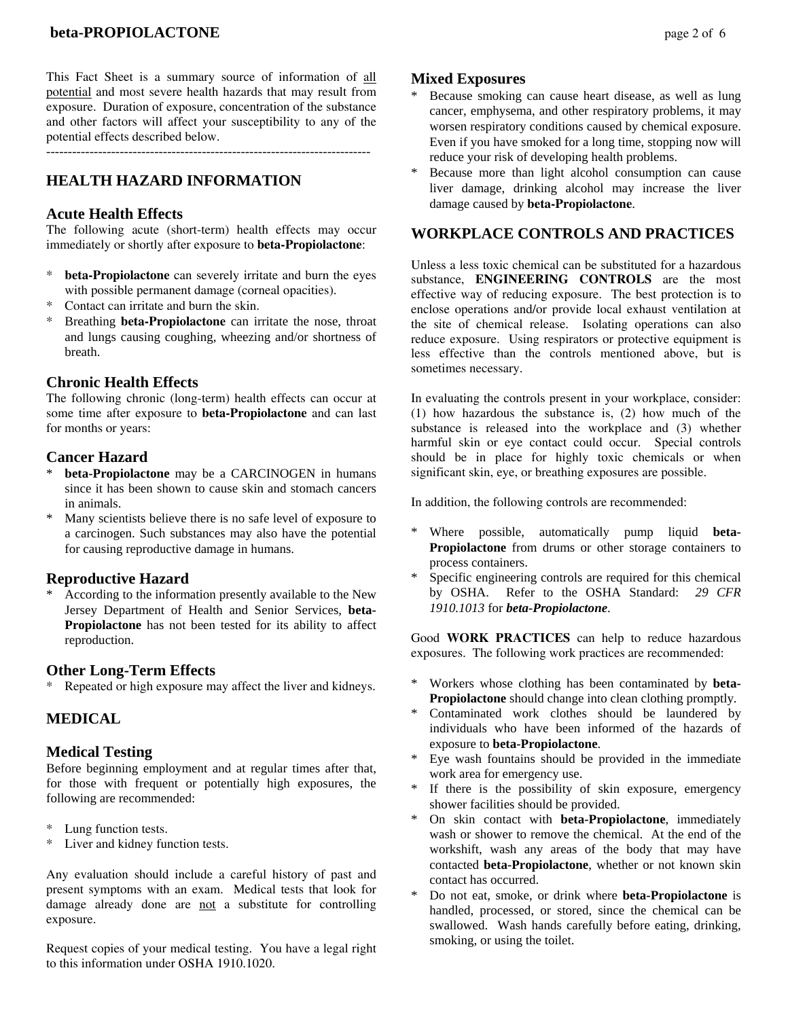This Fact Sheet is a summary source of information of all potential and most severe health hazards that may result from exposure. Duration of exposure, concentration of the substance and other factors will affect your susceptibility to any of the potential effects described below.

 $-$ 

# **HEALTH HAZARD INFORMATION**

## **Acute Health Effects**

The following acute (short-term) health effects may occur immediately or shortly after exposure to **beta-Propiolactone**:

- **beta-Propiolactone** can severely irritate and burn the eyes with possible permanent damage (corneal opacities).
- Contact can irritate and burn the skin.
- \* Breathing **beta-Propiolactone** can irritate the nose, throat and lungs causing coughing, wheezing and/or shortness of breath.

## **Chronic Health Effects**

The following chronic (long-term) health effects can occur at some time after exposure to **beta-Propiolactone** and can last for months or years:

## **Cancer Hazard**

- beta-Propiolactone may be a CARCINOGEN in humans since it has been shown to cause skin and stomach cancers in animals.
- Many scientists believe there is no safe level of exposure to a carcinogen. Such substances may also have the potential for causing reproductive damage in humans.

## **Reproductive Hazard**

According to the information presently available to the New Jersey Department of Health and Senior Services, **beta-Propiolactone** has not been tested for its ability to affect reproduction.

## **Other Long-Term Effects**

\* Repeated or high exposure may affect the liver and kidneys.

## **MEDICAL**

## **Medical Testing**

Before beginning employment and at regular times after that, for those with frequent or potentially high exposures, the following are recommended:

- \* Lung function tests.
- \* Liver and kidney function tests.

Any evaluation should include a careful history of past and present symptoms with an exam. Medical tests that look for damage already done are not a substitute for controlling exposure.

Request copies of your medical testing. You have a legal right to this information under OSHA 1910.1020.

## **Mixed Exposures**

- Because smoking can cause heart disease, as well as lung cancer, emphysema, and other respiratory problems, it may worsen respiratory conditions caused by chemical exposure. Even if you have smoked for a long time, stopping now will reduce your risk of developing health problems.
- Because more than light alcohol consumption can cause liver damage, drinking alcohol may increase the liver damage caused by **beta-Propiolactone**.

## **WORKPLACE CONTROLS AND PRACTICES**

Unless a less toxic chemical can be substituted for a hazardous substance, **ENGINEERING CONTROLS** are the most effective way of reducing exposure. The best protection is to enclose operations and/or provide local exhaust ventilation at the site of chemical release. Isolating operations can also reduce exposure. Using respirators or protective equipment is less effective than the controls mentioned above, but is sometimes necessary.

In evaluating the controls present in your workplace, consider: (1) how hazardous the substance is, (2) how much of the substance is released into the workplace and (3) whether harmful skin or eye contact could occur. Special controls should be in place for highly toxic chemicals or when significant skin, eye, or breathing exposures are possible.

In addition, the following controls are recommended:

- \* Where possible, automatically pump liquid **beta-Propiolactone** from drums or other storage containers to process containers.
- Specific engineering controls are required for this chemical by OSHA. Refer to the OSHA Standard: *29 CFR 1910.1013* for *beta-Propiolactone*.

Good **WORK PRACTICES** can help to reduce hazardous exposures. The following work practices are recommended:

- \* Workers whose clothing has been contaminated by **beta-Propiolactone** should change into clean clothing promptly.
- \* Contaminated work clothes should be laundered by individuals who have been informed of the hazards of exposure to **beta-Propiolactone**.
- Eye wash fountains should be provided in the immediate work area for emergency use.
- If there is the possibility of skin exposure, emergency shower facilities should be provided.
- On skin contact with **beta-Propiolactone**, immediately wash or shower to remove the chemical. At the end of the workshift, wash any areas of the body that may have contacted **beta-Propiolactone**, whether or not known skin contact has occurred.
- Do not eat, smoke, or drink where **beta-Propiolactone** is handled, processed, or stored, since the chemical can be swallowed. Wash hands carefully before eating, drinking, smoking, or using the toilet.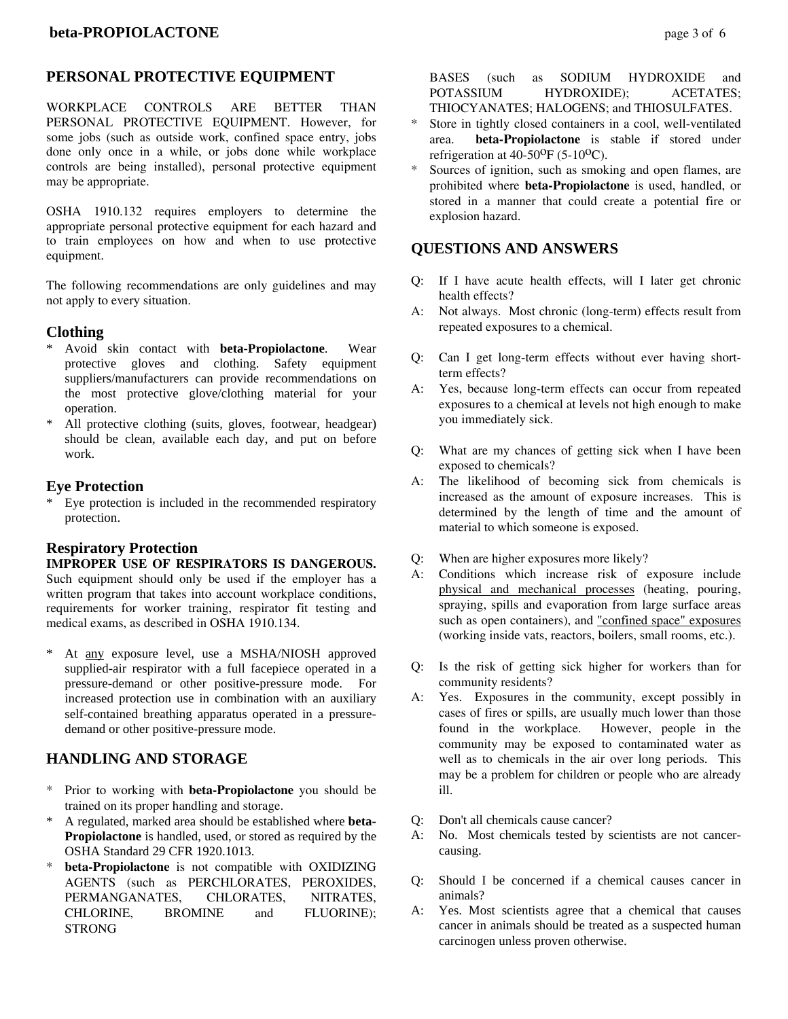## **PERSONAL PROTECTIVE EQUIPMENT**

WORKPLACE CONTROLS ARE BETTER THAN PERSONAL PROTECTIVE EQUIPMENT. However, for some jobs (such as outside work, confined space entry, jobs done only once in a while, or jobs done while workplace controls are being installed), personal protective equipment may be appropriate.

OSHA 1910.132 requires employers to determine the appropriate personal protective equipment for each hazard and to train employees on how and when to use protective equipment.

The following recommendations are only guidelines and may not apply to every situation.

## **Clothing**

- \* Avoid skin contact with **beta-Propiolactone**. Wear protective gloves and clothing. Safety equipment suppliers/manufacturers can provide recommendations on the most protective glove/clothing material for your operation.
- \* All protective clothing (suits, gloves, footwear, headgear) should be clean, available each day, and put on before work.

#### **Eye Protection**

Eye protection is included in the recommended respiratory protection.

#### **Respiratory Protection**

**IMPROPER USE OF RESPIRATORS IS DANGEROUS.** Such equipment should only be used if the employer has a written program that takes into account workplace conditions, requirements for worker training, respirator fit testing and medical exams, as described in OSHA 1910.134.

At any exposure level, use a MSHA/NIOSH approved supplied-air respirator with a full facepiece operated in a pressure-demand or other positive-pressure mode. For increased protection use in combination with an auxiliary self-contained breathing apparatus operated in a pressuredemand or other positive-pressure mode.

## **HANDLING AND STORAGE**

- \* Prior to working with **beta-Propiolactone** you should be trained on its proper handling and storage.
- \* A regulated, marked area should be established where **beta-Propiolactone** is handled, used, or stored as required by the OSHA Standard 29 CFR 1920.1013.
- beta-Propiolactone is not compatible with OXIDIZING AGENTS (such as PERCHLORATES, PEROXIDES, PERMANGANATES, CHLORATES, NITRATES, CHLORINE, BROMINE and FLUORINE); **STRONG**

 BASES (such as SODIUM HYDROXIDE and POTASSIUM HYDROXIDE); ACETATES; THIOCYANATES; HALOGENS; and THIOSULFATES.

- Store in tightly closed containers in a cool, well-ventilated area. **beta-Propiolactone** is stable if stored under refrigeration at  $40-50^{\circ}F(5-10^{\circ}C)$ .
- Sources of ignition, such as smoking and open flames, are prohibited where **beta-Propiolactone** is used, handled, or stored in a manner that could create a potential fire or explosion hazard.

## **QUESTIONS AND ANSWERS**

- Q: If I have acute health effects, will I later get chronic health effects?
- A: Not always. Most chronic (long-term) effects result from repeated exposures to a chemical.
- Q: Can I get long-term effects without ever having shortterm effects?
- A: Yes, because long-term effects can occur from repeated exposures to a chemical at levels not high enough to make you immediately sick.
- Q: What are my chances of getting sick when I have been exposed to chemicals?
- A: The likelihood of becoming sick from chemicals is increased as the amount of exposure increases. This is determined by the length of time and the amount of material to which someone is exposed.
- Q: When are higher exposures more likely?
- A: Conditions which increase risk of exposure include physical and mechanical processes (heating, pouring, spraying, spills and evaporation from large surface areas such as open containers), and "confined space" exposures (working inside vats, reactors, boilers, small rooms, etc.).
- Q: Is the risk of getting sick higher for workers than for community residents?
- A: Yes. Exposures in the community, except possibly in cases of fires or spills, are usually much lower than those found in the workplace. However, people in the community may be exposed to contaminated water as well as to chemicals in the air over long periods. This may be a problem for children or people who are already ill.
- Q: Don't all chemicals cause cancer?
- A: No. Most chemicals tested by scientists are not cancercausing.
- Q: Should I be concerned if a chemical causes cancer in animals?
- A: Yes. Most scientists agree that a chemical that causes cancer in animals should be treated as a suspected human carcinogen unless proven otherwise.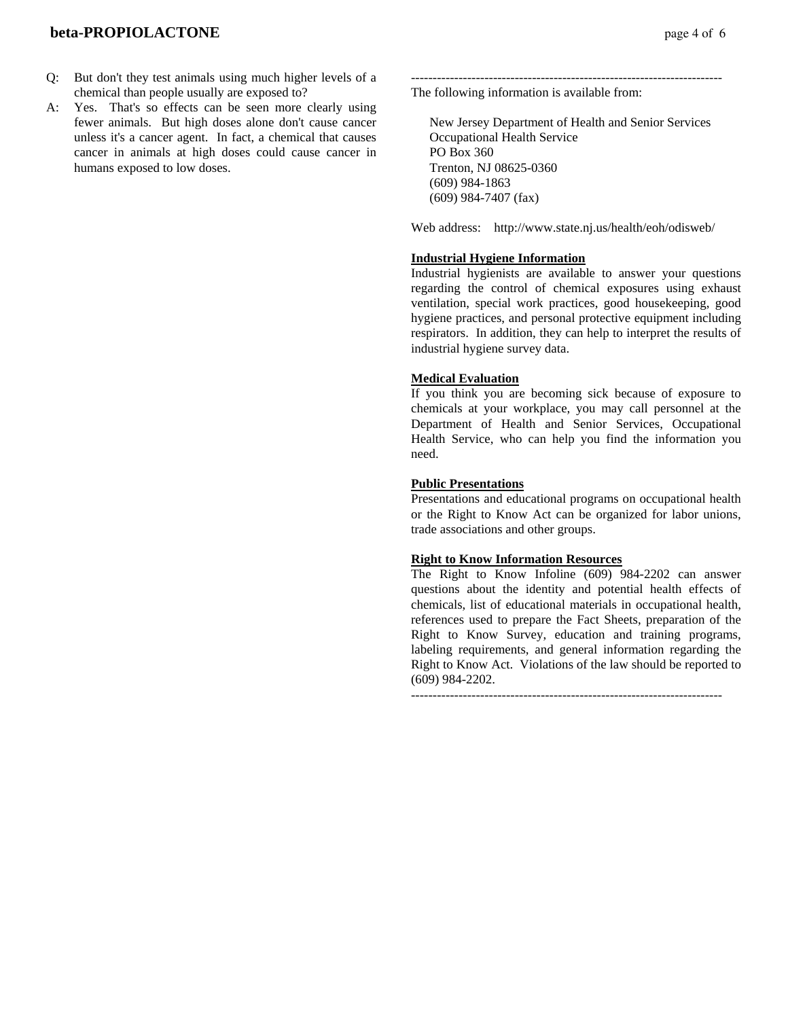## **beta-PROPIOLACTONE page 4 of 6**

- Q: But don't they test animals using much higher levels of a chemical than people usually are exposed to?
- A: Yes. That's so effects can be seen more clearly using fewer animals. But high doses alone don't cause cancer unless it's a cancer agent. In fact, a chemical that causes cancer in animals at high doses could cause cancer in humans exposed to low doses.

------------------------------------------------------------------------ The following information is available from:

 New Jersey Department of Health and Senior Services Occupational Health Service PO Box 360 Trenton, NJ 08625-0360 (609) 984-1863 (609) 984-7407 (fax)

Web address: http://www.state.nj.us/health/eoh/odisweb/

#### **Industrial Hygiene Information**

Industrial hygienists are available to answer your questions regarding the control of chemical exposures using exhaust ventilation, special work practices, good housekeeping, good hygiene practices, and personal protective equipment including respirators. In addition, they can help to interpret the results of industrial hygiene survey data.

#### **Medical Evaluation**

If you think you are becoming sick because of exposure to chemicals at your workplace, you may call personnel at the Department of Health and Senior Services, Occupational Health Service, who can help you find the information you need.

#### **Public Presentations**

Presentations and educational programs on occupational health or the Right to Know Act can be organized for labor unions, trade associations and other groups.

#### **Right to Know Information Resources**

The Right to Know Infoline (609) 984-2202 can answer questions about the identity and potential health effects of chemicals, list of educational materials in occupational health, references used to prepare the Fact Sheets, preparation of the Right to Know Survey, education and training programs, labeling requirements, and general information regarding the Right to Know Act. Violations of the law should be reported to (609) 984-2202.

 $-$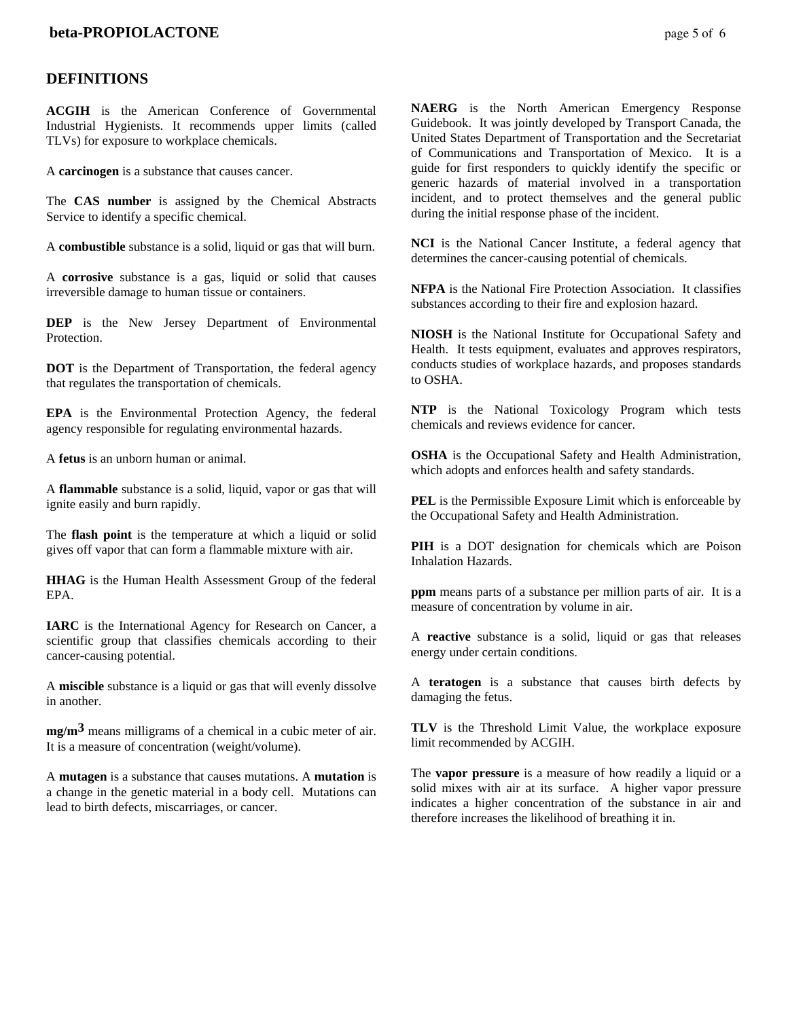## **DEFINITIONS**

**ACGIH** is the American Conference of Governmental Industrial Hygienists. It recommends upper limits (called TLVs) for exposure to workplace chemicals.

A **carcinogen** is a substance that causes cancer.

The **CAS number** is assigned by the Chemical Abstracts Service to identify a specific chemical.

A **combustible** substance is a solid, liquid or gas that will burn.

A **corrosive** substance is a gas, liquid or solid that causes irreversible damage to human tissue or containers.

**DEP** is the New Jersey Department of Environmental **Protection** 

**DOT** is the Department of Transportation, the federal agency that regulates the transportation of chemicals.

**EPA** is the Environmental Protection Agency, the federal agency responsible for regulating environmental hazards.

A **fetus** is an unborn human or animal.

A **flammable** substance is a solid, liquid, vapor or gas that will ignite easily and burn rapidly.

The **flash point** is the temperature at which a liquid or solid gives off vapor that can form a flammable mixture with air.

**HHAG** is the Human Health Assessment Group of the federal EPA.

**IARC** is the International Agency for Research on Cancer, a scientific group that classifies chemicals according to their cancer-causing potential.

A **miscible** substance is a liquid or gas that will evenly dissolve in another.

**mg/m3** means milligrams of a chemical in a cubic meter of air. It is a measure of concentration (weight/volume).

A **mutagen** is a substance that causes mutations. A **mutation** is a change in the genetic material in a body cell. Mutations can lead to birth defects, miscarriages, or cancer.

**NAERG** is the North American Emergency Response Guidebook. It was jointly developed by Transport Canada, the United States Department of Transportation and the Secretariat of Communications and Transportation of Mexico. It is a guide for first responders to quickly identify the specific or generic hazards of material involved in a transportation incident, and to protect themselves and the general public during the initial response phase of the incident.

**NCI** is the National Cancer Institute, a federal agency that determines the cancer-causing potential of chemicals.

**NFPA** is the National Fire Protection Association. It classifies substances according to their fire and explosion hazard.

**NIOSH** is the National Institute for Occupational Safety and Health. It tests equipment, evaluates and approves respirators, conducts studies of workplace hazards, and proposes standards to OSHA.

**NTP** is the National Toxicology Program which tests chemicals and reviews evidence for cancer.

**OSHA** is the Occupational Safety and Health Administration, which adopts and enforces health and safety standards.

**PEL** is the Permissible Exposure Limit which is enforceable by the Occupational Safety and Health Administration.

**PIH** is a DOT designation for chemicals which are Poison Inhalation Hazards.

**ppm** means parts of a substance per million parts of air. It is a measure of concentration by volume in air.

A **reactive** substance is a solid, liquid or gas that releases energy under certain conditions.

A **teratogen** is a substance that causes birth defects by damaging the fetus.

**TLV** is the Threshold Limit Value, the workplace exposure limit recommended by ACGIH.

The **vapor pressure** is a measure of how readily a liquid or a solid mixes with air at its surface. A higher vapor pressure indicates a higher concentration of the substance in air and therefore increases the likelihood of breathing it in.